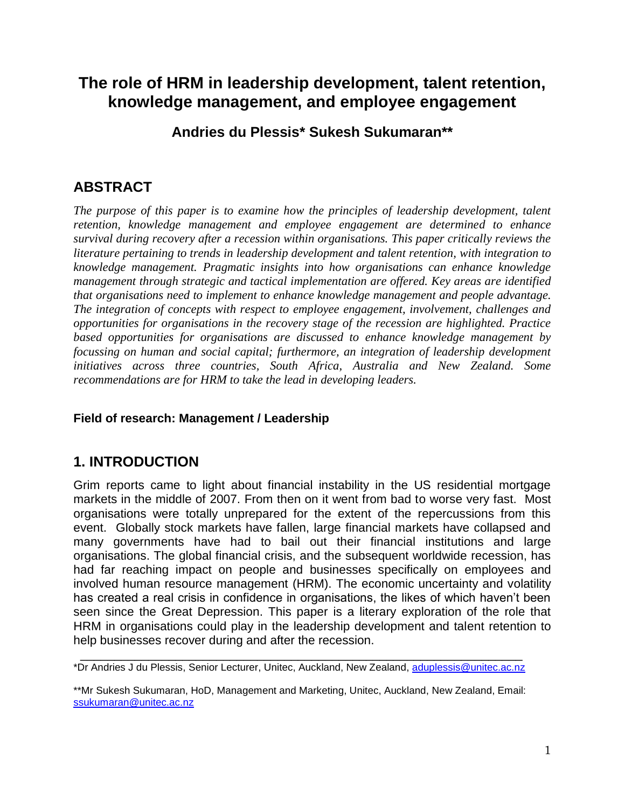# **The role of HRM in leadership development, talent retention, knowledge management, and employee engagement**

### **Andries du Plessis\* Sukesh Sukumaran\*\***

## **ABSTRACT**

The purpose of this paper is to examine how the principles of leadership development, talent *retention, knowledge management and employee engagement are determined to enhance survival during recovery after a recession within organisations. This paper critically reviews the literature pertaining to trends in leadership development and talent retention, with integration to knowledge management. Pragmatic insights into how organisations can enhance knowledge management through strategic and tactical implementation are offered. Key areas are identified that organisations need to implement to enhance knowledge management and people advantage. The integration of concepts with respect to employee engagement, involvement, challenges and opportunities for organisations in the recovery stage of the recession are highlighted. Practice based opportunities for organisations are discussed to enhance knowledge management by focussing on human and social capital; furthermore, an integration of leadership development initiatives across three countries, South Africa, Australia and New Zealand. Some recommendations are for HRM to take the lead in developing leaders.* 

#### **Field of research: Management / Leadership**

## **1. INTRODUCTION**

Grim reports came to light about financial instability in the US residential mortgage markets in the middle of 2007. From then on it went from bad to worse very fast. Most organisations were totally unprepared for the extent of the repercussions from this event. Globally stock markets have fallen, large financial markets have collapsed and many governments have had to bail out their financial institutions and large organisations. The global financial crisis, and the subsequent worldwide recession, has had far reaching impact on people and businesses specifically on employees and involved human resource management (HRM). The economic uncertainty and volatility has created a real crisis in confidence in organisations, the likes of which haven't been seen since the Great Depression. This paper is a literary exploration of the role that HRM in organisations could play in the leadership development and talent retention to help businesses recover during and after the recession.

 $\overline{\phantom{a}}$  , and the contribution of the contribution of the contribution of the contribution of the contribution of  $\overline{\phantom{a}}$ \*Dr Andries J du Plessis, Senior Lecturer, Unitec, Auckland, New Zealand, [aduplessis@unitec.ac.nz](mailto:aduplessis@unitec.ac.nz)

\*\*Mr Sukesh Sukumaran, HoD, Management and Marketing, Unitec, Auckland, New Zealand, Email: [ssukumaran@unitec.ac.nz](mailto:ssukumaran@unitec.ac.nz)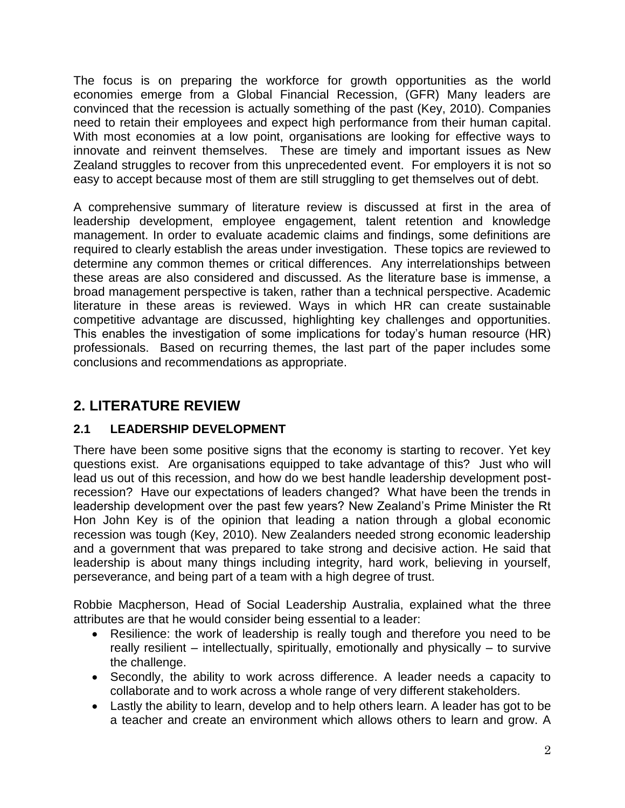The focus is on preparing the workforce for growth opportunities as the world economies emerge from a Global Financial Recession, (GFR) Many leaders are convinced that the recession is actually something of the past (Key, 2010). Companies need to retain their employees and expect high performance from their human capital. With most economies at a low point, organisations are looking for effective ways to innovate and reinvent themselves. These are timely and important issues as New Zealand struggles to recover from this unprecedented event. For employers it is not so easy to accept because most of them are still struggling to get themselves out of debt.

A comprehensive summary of literature review is discussed at first in the area of leadership development, employee engagement, talent retention and knowledge management. In order to evaluate academic claims and findings, some definitions are required to clearly establish the areas under investigation. These topics are reviewed to determine any common themes or critical differences. Any interrelationships between these areas are also considered and discussed. As the literature base is immense, a broad management perspective is taken, rather than a technical perspective. Academic literature in these areas is reviewed. Ways in which HR can create sustainable competitive advantage are discussed, highlighting key challenges and opportunities. This enables the investigation of some implications for today's human resource (HR) professionals. Based on recurring themes, the last part of the paper includes some conclusions and recommendations as appropriate.

## **2. LITERATURE REVIEW**

#### **2.1 LEADERSHIP DEVELOPMENT**

There have been some positive signs that the economy is starting to recover. Yet key questions exist. Are organisations equipped to take advantage of this? Just who will lead us out of this recession, and how do we best handle leadership development postrecession? Have our expectations of leaders changed? What have been the trends in leadership development over the past few years? New Zealand's Prime Minister the Rt Hon John Key is of the opinion that leading a nation through a global economic recession was tough (Key, 2010). New Zealanders needed strong economic leadership and a government that was prepared to take strong and decisive action. He said that leadership is about many things including integrity, hard work, believing in yourself, perseverance, and being part of a team with a high degree of trust.

Robbie Macpherson, Head of Social Leadership Australia, explained what the three attributes are that he would consider being essential to a leader:

- Resilience: the work of leadership is really tough and therefore you need to be really resilient – intellectually, spiritually, emotionally and physically – to survive the challenge.
- Secondly, the ability to work across difference. A leader needs a capacity to collaborate and to work across a whole range of very different stakeholders.
- Lastly the ability to learn, develop and to help others learn. A leader has got to be a teacher and create an environment which allows others to learn and grow. A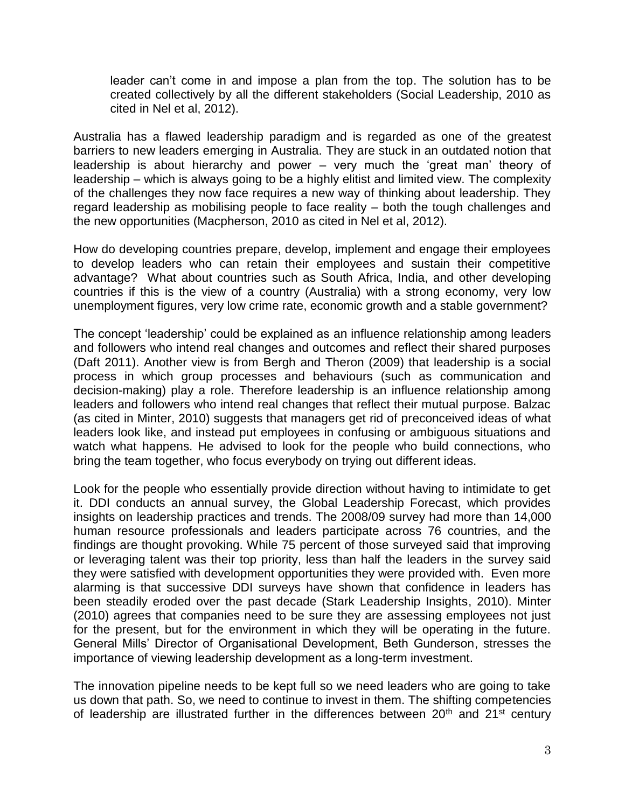leader can't come in and impose a plan from the top. The solution has to be created collectively by all the different stakeholders (Social Leadership, 2010 as cited in Nel et al, 2012).

Australia has a flawed leadership paradigm and is regarded as one of the greatest barriers to new leaders emerging in Australia. They are stuck in an outdated notion that leadership is about hierarchy and power – very much the 'great man' theory of leadership – which is always going to be a highly elitist and limited view. The complexity of the challenges they now face requires a new way of thinking about leadership. They regard leadership as mobilising people to face reality – both the tough challenges and the new opportunities (Macpherson, 2010 as cited in Nel et al, 2012).

How do developing countries prepare, develop, implement and engage their employees to develop leaders who can retain their employees and sustain their competitive advantage? What about countries such as South Africa, India, and other developing countries if this is the view of a country (Australia) with a strong economy, very low unemployment figures, very low crime rate, economic growth and a stable government?

The concept 'leadership' could be explained as an influence relationship among leaders and followers who intend real changes and outcomes and reflect their shared purposes (Daft 2011). Another view is from Bergh and Theron (2009) that leadership is a social process in which group processes and behaviours (such as communication and decision-making) play a role. Therefore leadership is an influence relationship among leaders and followers who intend real changes that reflect their mutual purpose. Balzac (as cited in Minter, 2010) suggests that managers get rid of preconceived ideas of what leaders look like, and instead put employees in confusing or ambiguous situations and watch what happens. He advised to look for the people who build connections, who bring the team together, who focus everybody on trying out different ideas.

Look for the people who essentially provide direction without having to intimidate to get it. DDI conducts an annual survey, the Global Leadership Forecast, which provides insights on leadership practices and trends. The 2008/09 survey had more than 14,000 human resource professionals and leaders participate across 76 countries, and the findings are thought provoking. While 75 percent of those surveyed said that improving or leveraging talent was their top priority, less than half the leaders in the survey said they were satisfied with development opportunities they were provided with. Even more alarming is that successive DDI surveys have shown that confidence in leaders has been steadily eroded over the past decade (Stark Leadership Insights, 2010). Minter (2010) agrees that companies need to be sure they are assessing employees not just for the present, but for the environment in which they will be operating in the future. General Mills' Director of Organisational Development, Beth Gunderson, stresses the importance of viewing leadership development as a long-term investment.

The innovation pipeline needs to be kept full so we need leaders who are going to take us down that path. So, we need to continue to invest in them. The shifting competencies of leadership are illustrated further in the differences between  $20<sup>th</sup>$  and  $21<sup>st</sup>$  century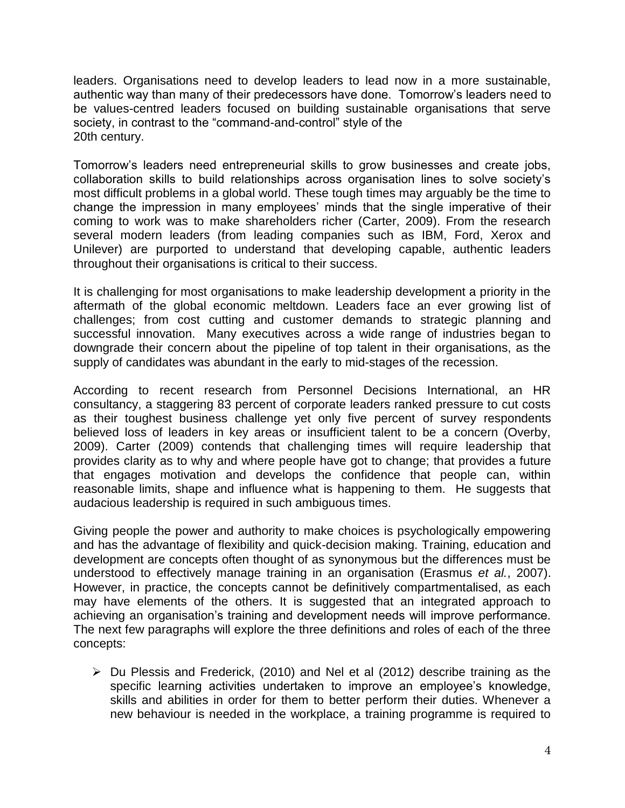leaders. Organisations need to develop leaders to lead now in a more sustainable, authentic way than many of their predecessors have done. Tomorrow's leaders need to be values-centred leaders focused on building sustainable organisations that serve society, in contrast to the "command-and-control" style of the 20th century.

Tomorrow's leaders need entrepreneurial skills to grow businesses and create jobs, collaboration skills to build relationships across organisation lines to solve society's most difficult problems in a global world. These tough times may arguably be the time to change the impression in many employees' minds that the single imperative of their coming to work was to make shareholders richer (Carter, 2009). From the research several modern leaders (from leading companies such as IBM, Ford, Xerox and Unilever) are purported to understand that developing capable, authentic leaders throughout their organisations is critical to their success.

It is challenging for most organisations to make leadership development a priority in the aftermath of the global economic meltdown. Leaders face an ever growing list of challenges; from cost cutting and customer demands to strategic planning and successful innovation. Many executives across a wide range of industries began to downgrade their concern about the pipeline of top talent in their organisations, as the supply of candidates was abundant in the early to mid-stages of the recession.

According to recent research from Personnel Decisions International, an HR consultancy, a staggering 83 percent of corporate leaders ranked pressure to cut costs as their toughest business challenge yet only five percent of survey respondents believed loss of leaders in key areas or insufficient talent to be a concern (Overby, 2009). Carter (2009) contends that challenging times will require leadership that provides clarity as to why and where people have got to change; that provides a future that engages motivation and develops the confidence that people can, within reasonable limits, shape and influence what is happening to them. He suggests that audacious leadership is required in such ambiguous times.

Giving people the power and authority to make choices is psychologically empowering and has the advantage of flexibility and quick-decision making. Training, education and development are concepts often thought of as synonymous but the differences must be understood to effectively manage training in an organisation (Erasmus *et al.*, 2007). However, in practice, the concepts cannot be definitively compartmentalised, as each may have elements of the others. It is suggested that an integrated approach to achieving an organisation's training and development needs will improve performance. The next few paragraphs will explore the three definitions and roles of each of the three concepts:

 $\triangleright$  Du Plessis and Frederick, (2010) and Nel et al (2012) describe training as the specific learning activities undertaken to improve an employee's knowledge, skills and abilities in order for them to better perform their duties. Whenever a new behaviour is needed in the workplace, a training programme is required to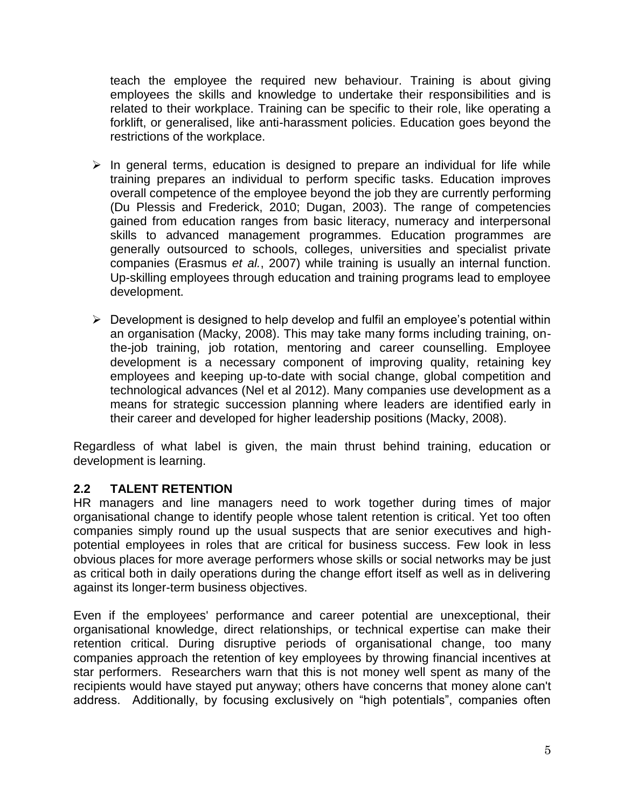teach the employee the required new behaviour. Training is about giving employees the skills and knowledge to undertake their responsibilities and is related to their workplace. Training can be specific to their role, like operating a forklift, or generalised, like anti-harassment policies. Education goes beyond the restrictions of the workplace.

- $\triangleright$  In general terms, education is designed to prepare an individual for life while training prepares an individual to perform specific tasks. Education improves overall competence of the employee beyond the job they are currently performing (Du Plessis and Frederick, 2010; Dugan, 2003). The range of competencies gained from education ranges from basic literacy, numeracy and interpersonal skills to advanced management programmes. Education programmes are generally outsourced to schools, colleges, universities and specialist private companies (Erasmus *et al.*, 2007) while training is usually an internal function. Up-skilling employees through education and training programs lead to employee development.
- $\triangleright$  Development is designed to help develop and fulfil an employee's potential within an organisation (Macky, 2008). This may take many forms including training, onthe-job training, job rotation, mentoring and career counselling. Employee development is a necessary component of improving quality, retaining key employees and keeping up-to-date with social change, global competition and technological advances (Nel et al 2012). Many companies use development as a means for strategic succession planning where leaders are identified early in their career and developed for higher leadership positions (Macky, 2008).

Regardless of what label is given, the main thrust behind training, education or development is learning.

#### **2.2 TALENT RETENTION**

HR managers and line managers need to work together during times of major organisational change to identify people whose talent retention is critical. Yet too often companies simply round up the usual suspects that are senior executives and highpotential employees in roles that are critical for business success. Few look in less obvious places for more average performers whose skills or social networks may be just as critical both in daily operations during the change effort itself as well as in delivering against its longer-term business objectives.

Even if the employees' performance and career potential are unexceptional, their organisational knowledge, direct relationships, or technical expertise can make their retention critical. During disruptive periods of organisational change, too many companies approach the retention of key employees by throwing financial incentives at star performers. Researchers warn that this is not money well spent as many of the recipients would have stayed put anyway; others have concerns that money alone can't address. Additionally, by focusing exclusively on "high potentials", companies often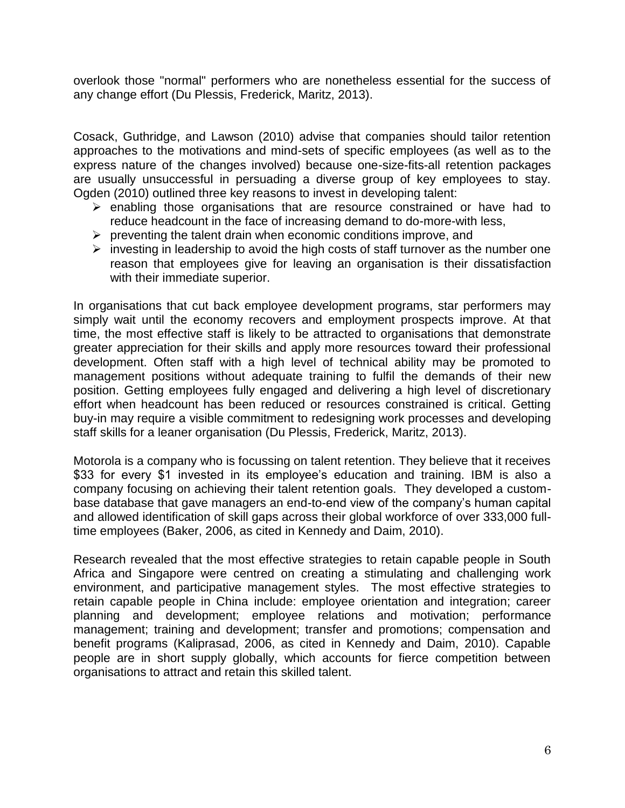overlook those "normal" performers who are nonetheless essential for the success of any change effort (Du Plessis, Frederick, Maritz, 2013).

Cosack, Guthridge, and Lawson (2010) advise that companies should tailor retention approaches to the motivations and mind-sets of specific employees (as well as to the express nature of the changes involved) because one-size-fits-all retention packages are usually unsuccessful in persuading a diverse group of key employees to stay. Ogden (2010) outlined three key reasons to invest in developing talent:

- $\triangleright$  enabling those organisations that are resource constrained or have had to reduce headcount in the face of increasing demand to do-more-with less,
- $\triangleright$  preventing the talent drain when economic conditions improve, and
- $\triangleright$  investing in leadership to avoid the high costs of staff turnover as the number one reason that employees give for leaving an organisation is their dissatisfaction with their immediate superior.

In organisations that cut back employee development programs, star performers may simply wait until the economy recovers and employment prospects improve. At that time, the most effective staff is likely to be attracted to organisations that demonstrate greater appreciation for their skills and apply more resources toward their professional development. Often staff with a high level of technical ability may be promoted to management positions without adequate training to fulfil the demands of their new position. Getting employees fully engaged and delivering a high level of discretionary effort when headcount has been reduced or resources constrained is critical. Getting buy-in may require a visible commitment to redesigning work processes and developing staff skills for a leaner organisation (Du Plessis, Frederick, Maritz, 2013).

Motorola is a company who is focussing on talent retention. They believe that it receives \$33 for every \$1 invested in its employee's education and training. IBM is also a company focusing on achieving their talent retention goals. They developed a custombase database that gave managers an end-to-end view of the company's human capital and allowed identification of skill gaps across their global workforce of over 333,000 fulltime employees (Baker, 2006, as cited in Kennedy and Daim, 2010).

Research revealed that the most effective strategies to retain capable people in South Africa and Singapore were centred on creating a stimulating and challenging work environment, and participative management styles. The most effective strategies to retain capable people in China include: employee orientation and integration; career planning and development; employee relations and motivation; performance management; training and development; transfer and promotions; compensation and benefit programs (Kaliprasad, 2006, as cited in Kennedy and Daim, 2010). Capable people are in short supply globally, which accounts for fierce competition between organisations to attract and retain this skilled talent.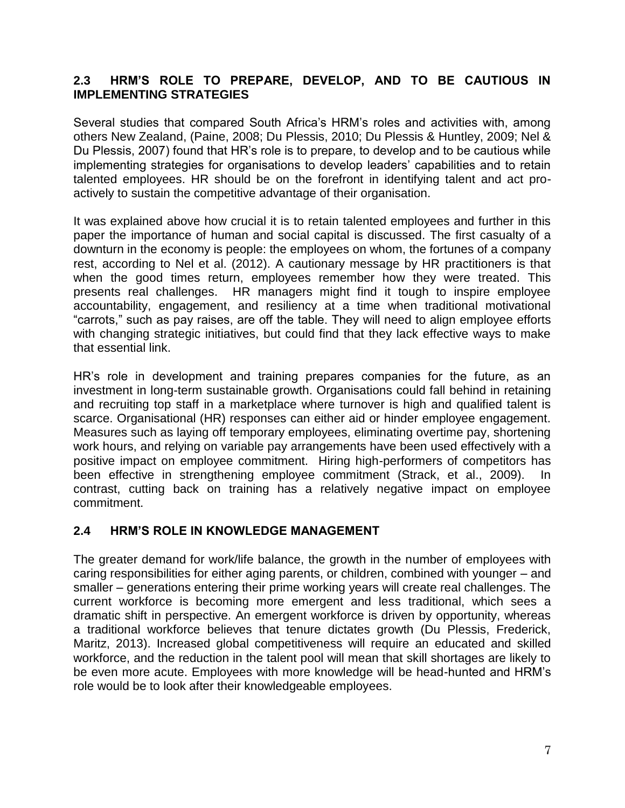#### **2.3 HRM'S ROLE TO PREPARE, DEVELOP, AND TO BE CAUTIOUS IN IMPLEMENTING STRATEGIES**

Several studies that compared South Africa's HRM's roles and activities with, among others New Zealand, (Paine, 2008; Du Plessis, 2010; Du Plessis & Huntley, 2009; Nel & Du Plessis, 2007) found that HR's role is to prepare, to develop and to be cautious while implementing strategies for organisations to develop leaders' capabilities and to retain talented employees. HR should be on the forefront in identifying talent and act proactively to sustain the competitive advantage of their organisation.

It was explained above how crucial it is to retain talented employees and further in this paper the importance of human and social capital is discussed. The first casualty of a downturn in the economy is people: the employees on whom, the fortunes of a company rest, according to Nel et al. (2012). A cautionary message by HR practitioners is that when the good times return, employees remember how they were treated. This presents real challenges. HR managers might find it tough to inspire employee accountability, engagement, and resiliency at a time when traditional motivational "carrots," such as pay raises, are off the table. They will need to align employee efforts with changing strategic initiatives, but could find that they lack effective ways to make that essential link.

HR's role in development and training prepares companies for the future, as an investment in long-term sustainable growth. Organisations could fall behind in retaining and recruiting top staff in a marketplace where turnover is high and qualified talent is scarce. Organisational (HR) responses can either aid or hinder employee engagement. Measures such as laying off temporary employees, eliminating overtime pay, shortening work hours, and relying on variable pay arrangements have been used effectively with a positive impact on employee commitment. Hiring high-performers of competitors has been effective in strengthening employee commitment (Strack, et al., 2009). In contrast, cutting back on training has a relatively negative impact on employee commitment.

#### **2.4 HRM'S ROLE IN KNOWLEDGE MANAGEMENT**

The greater demand for work/life balance, the growth in the number of employees with caring responsibilities for either aging parents, or children, combined with younger – and smaller – generations entering their prime working years will create real challenges. The current workforce is becoming more emergent and less traditional, which sees a dramatic shift in perspective. An emergent workforce is driven by opportunity, whereas a traditional workforce believes that tenure dictates growth (Du Plessis, Frederick, Maritz, 2013). Increased global competitiveness will require an educated and skilled workforce, and the reduction in the talent pool will mean that skill shortages are likely to be even more acute. Employees with more knowledge will be head-hunted and HRM's role would be to look after their knowledgeable employees.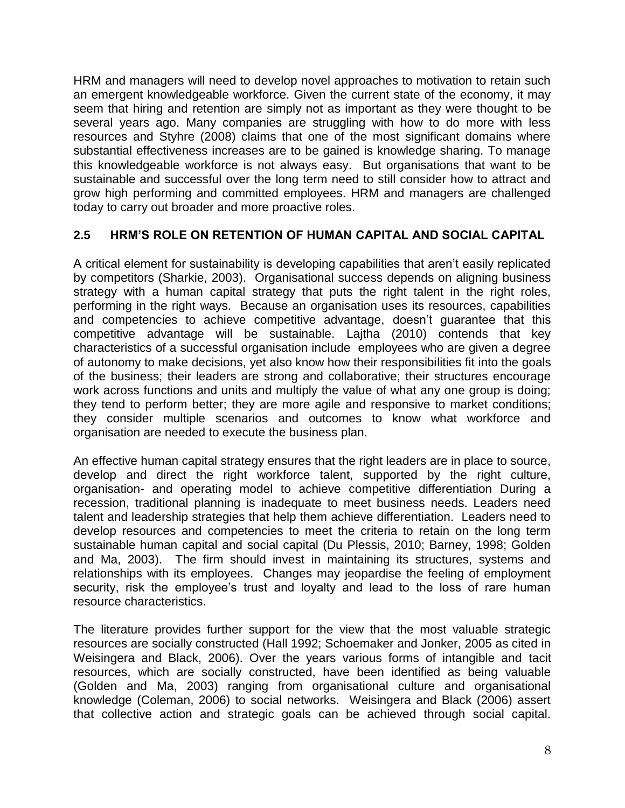HRM and managers will need to develop novel approaches to motivation to retain such an emergent knowledgeable workforce. Given the current state of the economy, it may seem that hiring and retention are simply not as important as they were thought to be several years ago. Many companies are struggling with how to do more with less resources and Styhre (2008) claims that one of the most significant domains where substantial effectiveness increases are to be gained is knowledge sharing. To manage this knowledgeable workforce is not always easy. But organisations that want to be sustainable and successful over the long term need to still consider how to attract and grow high performing and committed employees. HRM and managers are challenged today to carry out broader and more proactive roles.

#### **2.5 HRM'S ROLE ON RETENTION OF HUMAN CAPITAL AND SOCIAL CAPITAL**

A critical element for sustainability is developing capabilities that aren't easily replicated by competitors (Sharkie, 2003). Organisational success depends on aligning business strategy with a human capital strategy that puts the right talent in the right roles, performing in the right ways. Because an organisation uses its resources, capabilities and competencies to achieve competitive advantage, doesn't guarantee that this competitive advantage will be sustainable. Lajtha (2010) contends that key characteristics of a successful organisation include employees who are given a degree of autonomy to make decisions, yet also know how their responsibilities fit into the goals of the business; their leaders are strong and collaborative; their structures encourage work across functions and units and multiply the value of what any one group is doing; they tend to perform better; they are more agile and responsive to market conditions; they consider multiple scenarios and outcomes to know what workforce and organisation are needed to execute the business plan.

An effective human capital strategy ensures that the right leaders are in place to source, develop and direct the right workforce talent, supported by the right culture, organisation- and operating model to achieve competitive differentiation During a recession, traditional planning is inadequate to meet business needs. Leaders need talent and leadership strategies that help them achieve differentiation. Leaders need to develop resources and competencies to meet the criteria to retain on the long term sustainable human capital and social capital (Du Plessis, 2010; Barney, 1998; Golden and Ma, 2003). The firm should invest in maintaining its structures, systems and relationships with its employees. Changes may jeopardise the feeling of employment security, risk the employee's trust and loyalty and lead to the loss of rare human resource characteristics.

The literature provides further support for the view that the most valuable strategic resources are socially constructed (Hall 1992; Schoemaker and Jonker, 2005 as cited in Weisingera and Black, 2006). Over the years various forms of intangible and tacit resources, which are socially constructed, have been identified as being valuable (Golden and Ma, 2003) ranging from organisational culture and organisational knowledge (Coleman, 2006) to social networks. Weisingera and Black (2006) assert that collective action and strategic goals can be achieved through social capital.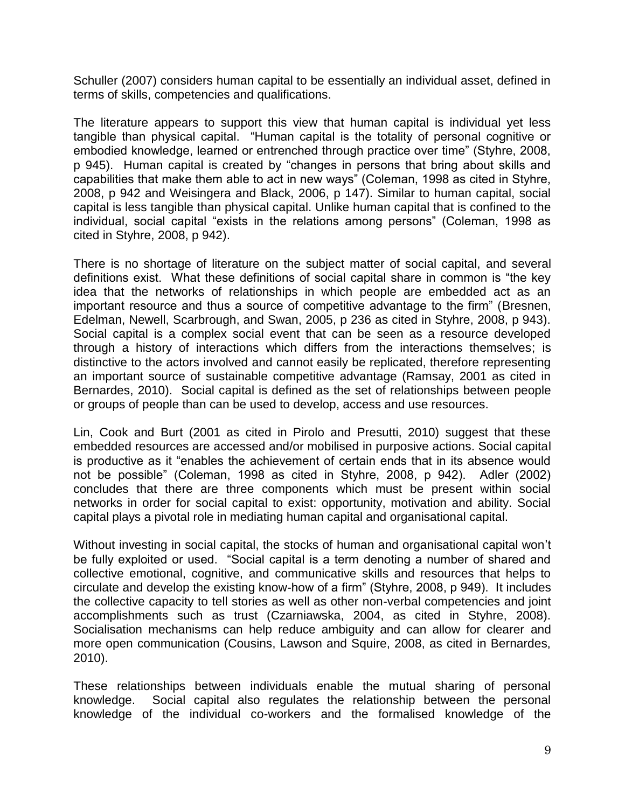Schuller (2007) considers human capital to be essentially an individual asset, defined in terms of skills, competencies and qualifications.

The literature appears to support this view that human capital is individual yet less tangible than physical capital. "Human capital is the totality of personal cognitive or embodied knowledge, learned or entrenched through practice over time" (Styhre, 2008, p 945). Human capital is created by "changes in persons that bring about skills and capabilities that make them able to act in new ways" (Coleman, 1998 as cited in Styhre, 2008, p 942 and Weisingera and Black, 2006, p 147). Similar to human capital, social capital is less tangible than physical capital. Unlike human capital that is confined to the individual, social capital "exists in the relations among persons" (Coleman, 1998 as cited in Styhre, 2008, p 942).

There is no shortage of literature on the subject matter of social capital, and several definitions exist. What these definitions of social capital share in common is "the key idea that the networks of relationships in which people are embedded act as an important resource and thus a source of competitive advantage to the firm" (Bresnen, Edelman, Newell, Scarbrough, and Swan, 2005, p 236 as cited in Styhre, 2008, p 943). Social capital is a complex social event that can be seen as a resource developed through a history of interactions which differs from the interactions themselves; is distinctive to the actors involved and cannot easily be replicated, therefore representing an important source of sustainable competitive advantage (Ramsay, 2001 as cited in Bernardes, 2010). Social capital is defined as the set of relationships between people or groups of people than can be used to develop, access and use resources.

Lin, Cook and Burt (2001 as cited in Pirolo and Presutti, 2010) suggest that these embedded resources are accessed and/or mobilised in purposive actions. Social capital is productive as it "enables the achievement of certain ends that in its absence would not be possible" (Coleman, 1998 as cited in Styhre, 2008, p 942). Adler (2002) concludes that there are three components which must be present within social networks in order for social capital to exist: opportunity, motivation and ability. Social capital plays a pivotal role in mediating human capital and organisational capital.

Without investing in social capital, the stocks of human and organisational capital won't be fully exploited or used. "Social capital is a term denoting a number of shared and collective emotional, cognitive, and communicative skills and resources that helps to circulate and develop the existing know-how of a firm" (Styhre, 2008, p 949). It includes the collective capacity to tell stories as well as other non-verbal competencies and joint accomplishments such as trust (Czarniawska, 2004, as cited in Styhre, 2008). Socialisation mechanisms can help reduce ambiguity and can allow for clearer and more open communication (Cousins, Lawson and Squire, 2008, as cited in Bernardes, 2010).

These relationships between individuals enable the mutual sharing of personal knowledge. Social capital also regulates the relationship between the personal knowledge of the individual co-workers and the formalised knowledge of the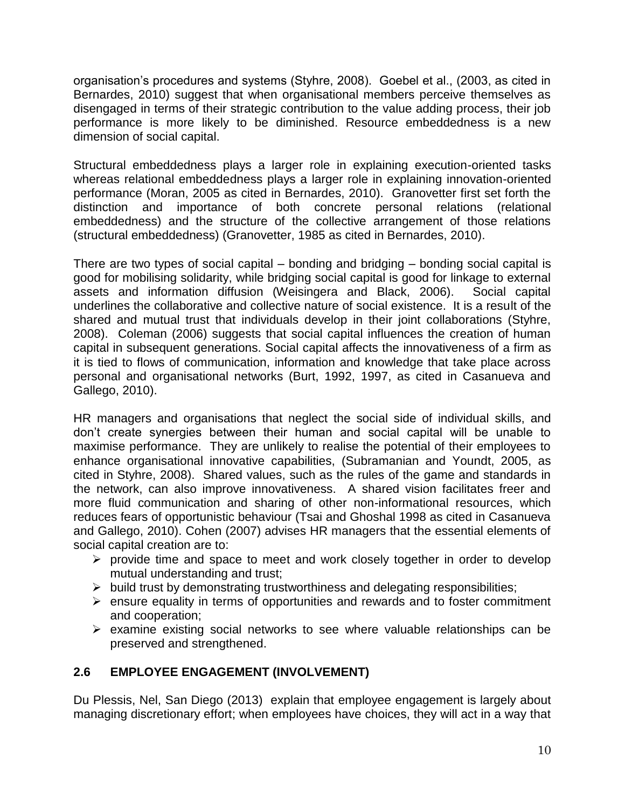organisation's procedures and systems (Styhre, 2008). Goebel et al., (2003, as cited in Bernardes, 2010) suggest that when organisational members perceive themselves as disengaged in terms of their strategic contribution to the value adding process, their job performance is more likely to be diminished. Resource embeddedness is a new dimension of social capital.

Structural embeddedness plays a larger role in explaining execution-oriented tasks whereas relational embeddedness plays a larger role in explaining innovation-oriented performance (Moran, 2005 as cited in Bernardes, 2010). Granovetter first set forth the distinction and importance of both concrete personal relations (relational embeddedness) and the structure of the collective arrangement of those relations (structural embeddedness) (Granovetter, 1985 as cited in Bernardes, 2010).

There are two types of social capital – bonding and bridging – bonding social capital is good for mobilising solidarity, while bridging social capital is good for linkage to external assets and information diffusion (Weisingera and Black, 2006). Social capital underlines the collaborative and collective nature of social existence. It is a result of the shared and mutual trust that individuals develop in their joint collaborations (Styhre, 2008). Coleman (2006) suggests that social capital influences the creation of human capital in subsequent generations. Social capital affects the innovativeness of a firm as it is tied to flows of communication, information and knowledge that take place across personal and organisational networks (Burt, 1992, 1997, as cited in Casanueva and Gallego, 2010).

HR managers and organisations that neglect the social side of individual skills, and don't create synergies between their human and social capital will be unable to maximise performance. They are unlikely to realise the potential of their employees to enhance organisational innovative capabilities, (Subramanian and Youndt, 2005, as cited in Styhre, 2008). Shared values, such as the rules of the game and standards in the network, can also improve innovativeness. A shared vision facilitates freer and more fluid communication and sharing of other non-informational resources, which reduces fears of opportunistic behaviour (Tsai and Ghoshal 1998 as cited in Casanueva and Gallego, 2010). Cohen (2007) advises HR managers that the essential elements of social capital creation are to:

- $\triangleright$  provide time and space to meet and work closely together in order to develop mutual understanding and trust;
- $\triangleright$  build trust by demonstrating trustworthiness and delegating responsibilities;
- $\triangleright$  ensure equality in terms of opportunities and rewards and to foster commitment and cooperation;
- $\triangleright$  examine existing social networks to see where valuable relationships can be preserved and strengthened.

### **2.6 EMPLOYEE ENGAGEMENT (INVOLVEMENT)**

Du Plessis, Nel, San Diego (2013) explain that employee engagement is largely about managing discretionary effort; when employees have choices, they will act in a way that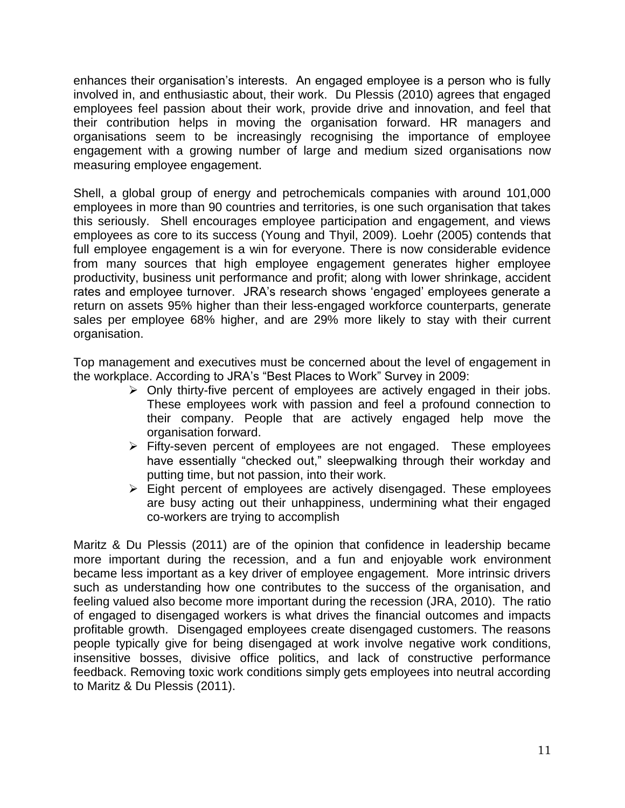enhances their organisation's interests. An engaged employee is a person who is fully involved in, and enthusiastic about, their work. Du Plessis (2010) agrees that engaged employees feel passion about their work, provide drive and innovation, and feel that their contribution helps in moving the organisation forward. HR managers and organisations seem to be increasingly recognising the importance of employee engagement with a growing number of large and medium sized organisations now measuring employee engagement.

Shell, a global group of energy and petrochemicals companies with around 101,000 employees in more than 90 countries and territories, is one such organisation that takes this seriously. Shell encourages employee participation and engagement, and views employees as core to its success (Young and Thyil, 2009)*.* Loehr (2005) contends that full employee engagement is a win for everyone. There is now considerable evidence from many sources that high employee engagement generates higher employee productivity, business unit performance and profit; along with lower shrinkage, accident rates and employee turnover. JRA's research shows 'engaged' employees generate a return on assets 95% higher than their less-engaged workforce counterparts, generate sales per employee 68% higher, and are 29% more likely to stay with their current organisation.

Top management and executives must be concerned about the level of engagement in the workplace. According to JRA's "Best Places to Work" Survey in 2009:

- $\triangleright$  Only thirty-five percent of employees are actively engaged in their jobs. These employees work with passion and feel a profound connection to their company. People that are actively engaged help move the organisation forward.
- $\triangleright$  Fifty-seven percent of employees are not engaged. These employees have essentially "checked out," sleepwalking through their workday and putting time, but not passion, into their work.
- $\triangleright$  Eight percent of employees are actively disengaged. These employees are busy acting out their unhappiness, undermining what their engaged co-workers are trying to accomplish

Maritz & Du Plessis (2011) are of the opinion that confidence in leadership became more important during the recession, and a fun and enjoyable work environment became less important as a key driver of employee engagement. More intrinsic drivers such as understanding how one contributes to the success of the organisation, and feeling valued also become more important during the recession (JRA, 2010). The ratio of engaged to disengaged workers is what drives the financial outcomes and impacts profitable growth. Disengaged employees create disengaged customers. The reasons people typically give for being disengaged at work involve negative work conditions, insensitive bosses, divisive office politics, and lack of constructive performance feedback. Removing toxic work conditions simply gets employees into neutral according to Maritz & Du Plessis (2011).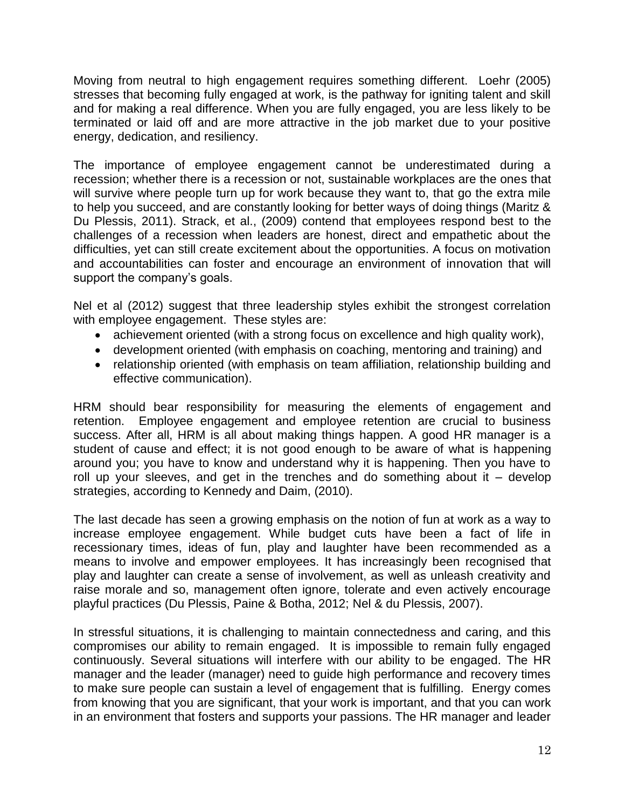Moving from neutral to high engagement requires something different. Loehr (2005) stresses that becoming fully engaged at work, is the pathway for igniting talent and skill and for making a real difference. When you are fully engaged, you are less likely to be terminated or laid off and are more attractive in the job market due to your positive energy, dedication, and resiliency.

The importance of employee engagement cannot be underestimated during a recession; whether there is a recession or not, sustainable workplaces are the ones that will survive where people turn up for work because they want to, that go the extra mile to help you succeed, and are constantly looking for better ways of doing things (Maritz & Du Plessis, 2011). Strack, et al., (2009) contend that employees respond best to the challenges of a recession when leaders are honest, direct and empathetic about the difficulties, yet can still create excitement about the opportunities. A focus on motivation and accountabilities can foster and encourage an environment of innovation that will support the company's goals.

Nel et al (2012) suggest that three leadership styles exhibit the strongest correlation with employee engagement. These styles are:

- achievement oriented (with a strong focus on excellence and high quality work),
- development oriented (with emphasis on coaching, mentoring and training) and
- relationship oriented (with emphasis on team affiliation, relationship building and effective communication).

HRM should bear responsibility for measuring the elements of engagement and retention. Employee engagement and employee retention are crucial to business success. After all, HRM is all about making things happen. A good HR manager is a student of cause and effect; it is not good enough to be aware of what is happening around you; you have to know and understand why it is happening. Then you have to roll up your sleeves, and get in the trenches and do something about it – develop strategies, according to Kennedy and Daim, (2010).

The last decade has seen a growing emphasis on the notion of fun at work as a way to increase employee engagement. While budget cuts have been a fact of life in recessionary times, ideas of fun, play and laughter have been recommended as a means to involve and empower employees. It has increasingly been recognised that play and laughter can create a sense of involvement, as well as unleash creativity and raise morale and so, management often ignore, tolerate and even actively encourage playful practices (Du Plessis, Paine & Botha, 2012; Nel & du Plessis, 2007).

In stressful situations, it is challenging to maintain connectedness and caring, and this compromises our ability to remain engaged. It is impossible to remain fully engaged continuously. Several situations will interfere with our ability to be engaged. The HR manager and the leader (manager) need to guide high performance and recovery times to make sure people can sustain a level of engagement that is fulfilling. Energy comes from knowing that you are significant, that your work is important, and that you can work in an environment that fosters and supports your passions. The HR manager and leader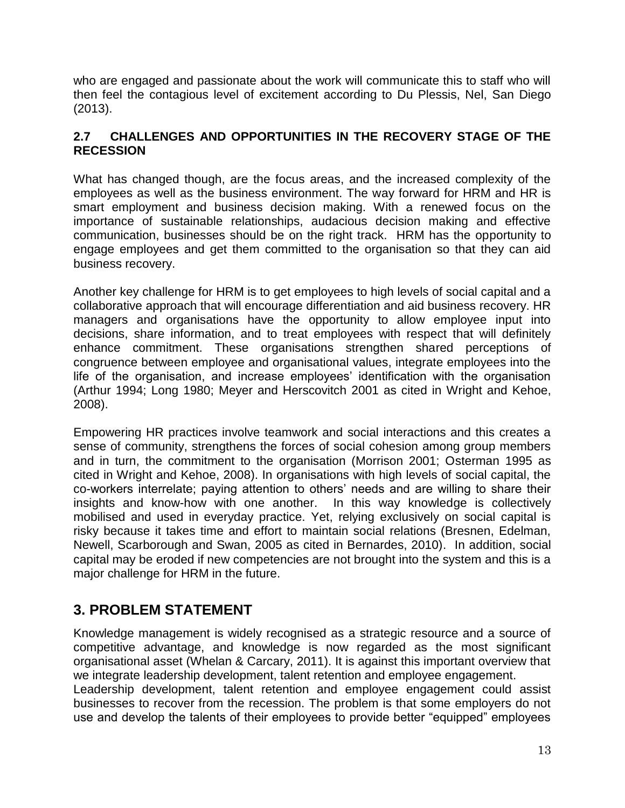who are engaged and passionate about the work will communicate this to staff who will then feel the contagious level of excitement according to Du Plessis, Nel, San Diego (2013).

#### **2.7 CHALLENGES AND OPPORTUNITIES IN THE RECOVERY STAGE OF THE RECESSION**

What has changed though, are the focus areas, and the increased complexity of the employees as well as the business environment. The way forward for HRM and HR is smart employment and business decision making. With a renewed focus on the importance of sustainable relationships, audacious decision making and effective communication, businesses should be on the right track. HRM has the opportunity to engage employees and get them committed to the organisation so that they can aid business recovery.

Another key challenge for HRM is to get employees to high levels of social capital and a collaborative approach that will encourage differentiation and aid business recovery. HR managers and organisations have the opportunity to allow employee input into decisions, share information, and to treat employees with respect that will definitely enhance commitment. These organisations strengthen shared perceptions of congruence between employee and organisational values, integrate employees into the life of the organisation, and increase employees' identification with the organisation (Arthur 1994; Long 1980; Meyer and Herscovitch 2001 as cited in Wright and Kehoe, 2008).

Empowering HR practices involve teamwork and social interactions and this creates a sense of community, strengthens the forces of social cohesion among group members and in turn, the commitment to the organisation (Morrison 2001; Osterman 1995 as cited in Wright and Kehoe, 2008). In organisations with high levels of social capital, the co-workers interrelate; paying attention to others' needs and are willing to share their insights and know-how with one another. In this way knowledge is collectively mobilised and used in everyday practice. Yet, relying exclusively on social capital is risky because it takes time and effort to maintain social relations (Bresnen, Edelman, Newell, Scarborough and Swan, 2005 as cited in Bernardes, 2010). In addition, social capital may be eroded if new competencies are not brought into the system and this is a major challenge for HRM in the future.

## **3. PROBLEM STATEMENT**

Knowledge management is widely recognised as a strategic resource and a source of competitive advantage, and knowledge is now regarded as the most significant organisational asset (Whelan & Carcary, 2011). It is against this important overview that we integrate leadership development, talent retention and employee engagement.

Leadership development, talent retention and employee engagement could assist businesses to recover from the recession. The problem is that some employers do not use and develop the talents of their employees to provide better "equipped" employees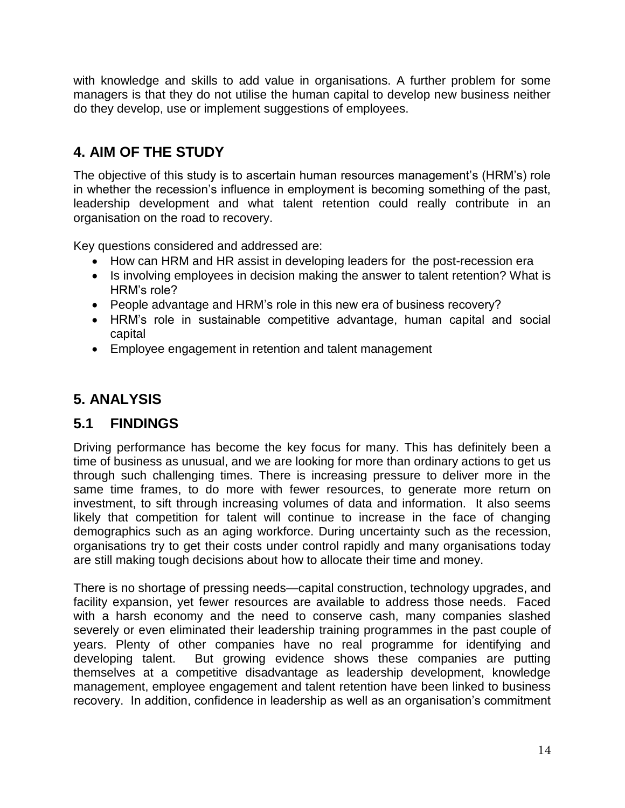with knowledge and skills to add value in organisations. A further problem for some managers is that they do not utilise the human capital to develop new business neither do they develop, use or implement suggestions of employees.

# **4. AIM OF THE STUDY**

The objective of this study is to ascertain human resources management's (HRM's) role in whether the recession's influence in employment is becoming something of the past, leadership development and what talent retention could really contribute in an organisation on the road to recovery.

Key questions considered and addressed are:

- How can HRM and HR assist in developing leaders for the post-recession era
- Is involving employees in decision making the answer to talent retention? What is HRM's role?
- People advantage and HRM's role in this new era of business recovery?
- HRM's role in sustainable competitive advantage, human capital and social capital
- Employee engagement in retention and talent management

# **5. ANALYSIS**

## **5.1 FINDINGS**

Driving performance has become the key focus for many. This has definitely been a time of business as unusual, and we are looking for more than ordinary actions to get us through such challenging times. There is increasing pressure to deliver more in the same time frames, to do more with fewer resources, to generate more return on investment, to sift through increasing volumes of data and information. It also seems likely that competition for talent will continue to increase in the face of changing demographics such as an aging workforce. During uncertainty such as the recession, organisations try to get their costs under control rapidly and many organisations today are still making tough decisions about how to allocate their time and money.

There is no shortage of pressing needs—capital construction, technology upgrades, and facility expansion, yet fewer resources are available to address those needs. Faced with a harsh economy and the need to conserve cash, many companies slashed severely or even eliminated their leadership training programmes in the past couple of years. Plenty of other companies have no real programme for identifying and developing talent. But growing evidence shows these companies are putting themselves at a competitive disadvantage as leadership development, knowledge management, employee engagement and talent retention have been linked to business recovery. In addition, confidence in leadership as well as an organisation's commitment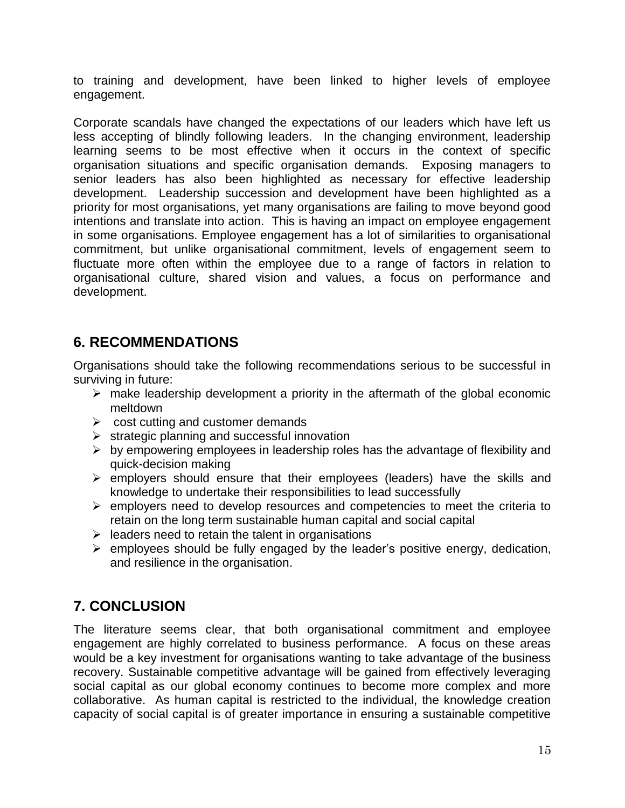to training and development, have been linked to higher levels of employee engagement.

Corporate scandals have changed the expectations of our leaders which have left us less accepting of blindly following leaders. In the changing environment, leadership learning seems to be most effective when it occurs in the context of specific organisation situations and specific organisation demands. Exposing managers to senior leaders has also been highlighted as necessary for effective leadership development. Leadership succession and development have been highlighted as a priority for most organisations, yet many organisations are failing to move beyond good intentions and translate into action. This is having an impact on employee engagement in some organisations. Employee engagement has a lot of similarities to organisational commitment, but unlike organisational commitment, levels of engagement seem to fluctuate more often within the employee due to a range of factors in relation to organisational culture, shared vision and values, a focus on performance and development.

## **6. RECOMMENDATIONS**

Organisations should take the following recommendations serious to be successful in surviving in future:

- $\triangleright$  make leadership development a priority in the aftermath of the global economic meltdown
- $\triangleright$  cost cutting and customer demands
- $\triangleright$  strategic planning and successful innovation
- $\triangleright$  by empowering employees in leadership roles has the advantage of flexibility and quick-decision making
- $\triangleright$  employers should ensure that their employees (leaders) have the skills and knowledge to undertake their responsibilities to lead successfully
- $\triangleright$  employers need to develop resources and competencies to meet the criteria to retain on the long term sustainable human capital and social capital
- $\triangleright$  leaders need to retain the talent in organisations
- $\triangleright$  employees should be fully engaged by the leader's positive energy, dedication, and resilience in the organisation.

## **7. CONCLUSION**

The literature seems clear, that both organisational commitment and employee engagement are highly correlated to business performance. A focus on these areas would be a key investment for organisations wanting to take advantage of the business recovery. Sustainable competitive advantage will be gained from effectively leveraging social capital as our global economy continues to become more complex and more collaborative. As human capital is restricted to the individual, the knowledge creation capacity of social capital is of greater importance in ensuring a sustainable competitive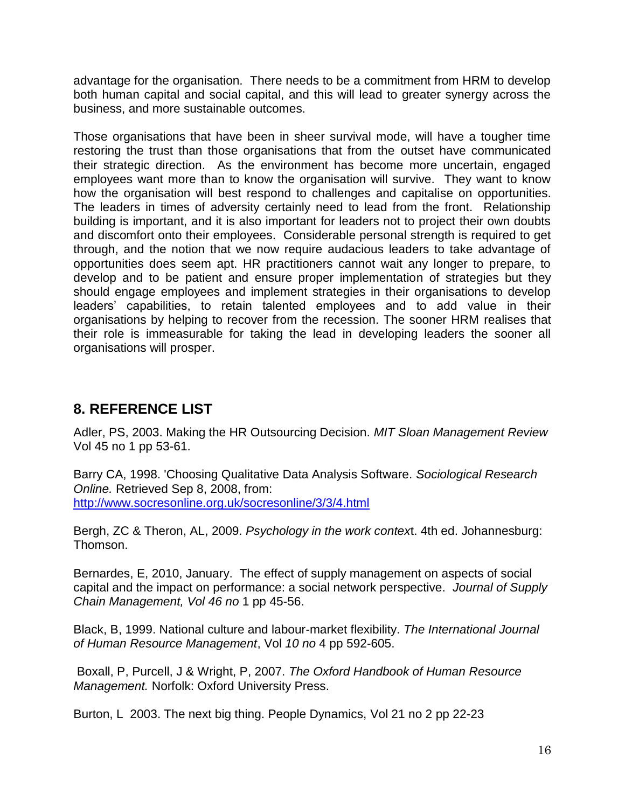advantage for the organisation. There needs to be a commitment from HRM to develop both human capital and social capital, and this will lead to greater synergy across the business, and more sustainable outcomes.

Those organisations that have been in sheer survival mode, will have a tougher time restoring the trust than those organisations that from the outset have communicated their strategic direction. As the environment has become more uncertain, engaged employees want more than to know the organisation will survive. They want to know how the organisation will best respond to challenges and capitalise on opportunities. The leaders in times of adversity certainly need to lead from the front. Relationship building is important, and it is also important for leaders not to project their own doubts and discomfort onto their employees. Considerable personal strength is required to get through, and the notion that we now require audacious leaders to take advantage of opportunities does seem apt. HR practitioners cannot wait any longer to prepare, to develop and to be patient and ensure proper implementation of strategies but they should engage employees and implement strategies in their organisations to develop leaders' capabilities, to retain talented employees and to add value in their organisations by helping to recover from the recession. The sooner HRM realises that their role is immeasurable for taking the lead in developing leaders the sooner all organisations will prosper.

## **8. REFERENCE LIST**

Adler, PS, 2003. Making the HR Outsourcing Decision. *MIT Sloan Management Review* Vol 45 no 1 pp 53-61.

Barry CA, 1998. 'Choosing Qualitative Data Analysis Software. *Sociological Research Online.* Retrieved Sep 8, 2008, from: <http://www.socresonline.org.uk/socresonline/3/3/4.html>

Bergh, ZC & Theron, AL, 2009. *Psychology in the work contex*t. 4th ed. Johannesburg: Thomson.

Bernardes, E, 2010, January. The effect of supply management on aspects of social capital and the impact on performance: a social network perspective. *Journal of Supply Chain Management, Vol 46 no* 1 pp 45-56.

Black, B, 1999. National culture and labour-market flexibility. *The International Journal of Human Resource Management*, Vol *10 no* 4 pp 592-605.

Boxall, P, Purcell, J & Wright, P, 2007. *The Oxford Handbook of Human Resource Management.* Norfolk: Oxford University Press.

Burton, L 2003. The next big thing. People Dynamics, Vol 21 no 2 pp 22-23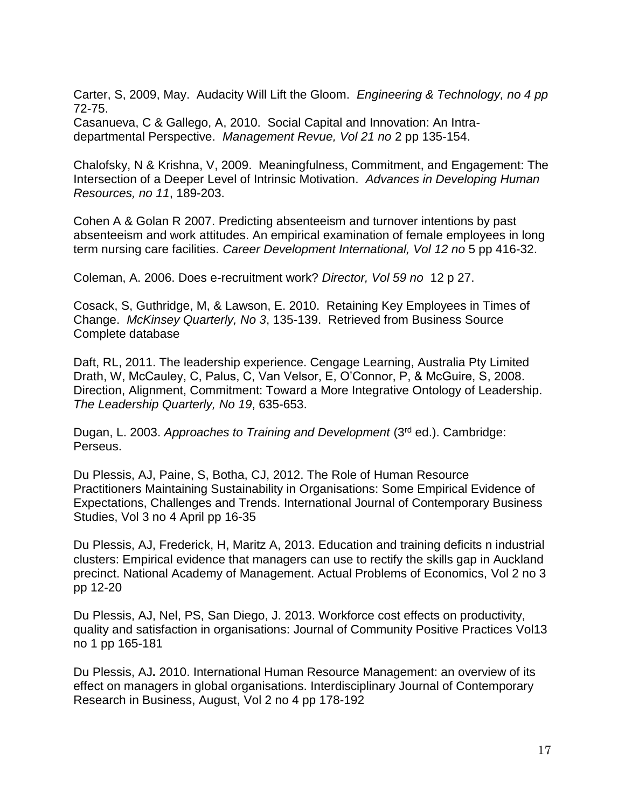Carter, S, 2009, May. Audacity Will Lift the Gloom. *Engineering & Technology, no 4 pp* 72-75.

Casanueva, C & Gallego, A, 2010. Social Capital and Innovation: An Intradepartmental Perspective. *Management Revue, Vol 21 no* 2 pp 135-154.

Chalofsky, N & Krishna, V, 2009. Meaningfulness, Commitment, and Engagement: The Intersection of a Deeper Level of Intrinsic Motivation. *Advances in Developing Human Resources, no 11*, 189-203.

Cohen A & Golan R 2007. Predicting absenteeism and turnover intentions by past absenteeism and work attitudes. An empirical examination of female employees in long term nursing care facilities. *Career Development International, Vol 12 no* 5 pp 416-32.

Coleman, A. 2006. Does e-recruitment work? *Director, Vol 59 no* 12 p 27.

Cosack, S, Guthridge, M, & Lawson, E. 2010. Retaining Key Employees in Times of Change. *McKinsey Quarterly, No 3*, 135-139. Retrieved from Business Source Complete database

Daft, RL, 2011. The leadership experience. Cengage Learning, Australia Pty Limited Drath, W, McCauley, C, Palus, C, Van Velsor, E, O'Connor, P, & McGuire, S, 2008. Direction, Alignment, Commitment: Toward a More Integrative Ontology of Leadership. *The Leadership Quarterly, No 19*, 635-653.

Dugan, L. 2003. *Approaches to Training and Development* (3rd ed.). Cambridge: Perseus.

Du Plessis, AJ, Paine, S, Botha, CJ, 2012. The Role of Human Resource Practitioners Maintaining Sustainability in Organisations: Some Empirical Evidence of Expectations, Challenges and Trends. International Journal of Contemporary Business Studies, Vol 3 no 4 April pp 16-35

Du Plessis, AJ, Frederick, H, Maritz A, 2013. Education and training deficits n industrial clusters: Empirical evidence that managers can use to rectify the skills gap in Auckland precinct. National Academy of Management. Actual Problems of Economics, Vol 2 no 3 pp 12-20

Du Plessis, AJ, Nel, PS, San Diego, J. 2013. Workforce cost effects on productivity, quality and satisfaction in organisations: Journal of Community Positive Practices Vol13 no 1 pp 165-181

Du Plessis, AJ**.** 2010. International Human Resource Management: an overview of its effect on managers in global organisations. Interdisciplinary Journal of Contemporary Research in Business, August, Vol 2 no 4 pp 178-192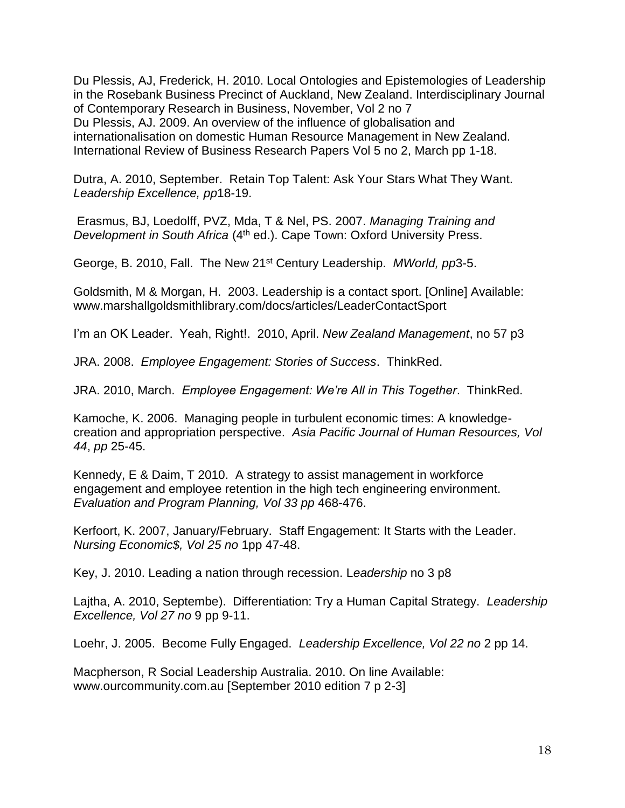Du Plessis, AJ, Frederick, H. 2010. Local Ontologies and Epistemologies of Leadership in the Rosebank Business Precinct of Auckland, New Zealand. Interdisciplinary Journal of Contemporary Research in Business, November, Vol 2 no 7 Du Plessis, AJ. 2009. An overview of the influence of globalisation and internationalisation on domestic Human Resource Management in New Zealand. International Review of Business Research Papers Vol 5 no 2, March pp 1-18.

Dutra, A. 2010, September. Retain Top Talent: Ask Your Stars What They Want. *Leadership Excellence, pp*18-19.

Erasmus, BJ, Loedolff, PVZ, Mda, T & Nel, PS. 2007. *Managing Training and Development in South Africa* (4<sup>th</sup> ed.). Cape Town: Oxford University Press.

George, B. 2010, Fall. The New 21st Century Leadership. *MWorld, pp*3-5.

Goldsmith, M & Morgan, H. 2003. Leadership is a contact sport. [Online] Available: www.marshallgoldsmithlibrary.com/docs/articles/LeaderContactSport

I'm an OK Leader. Yeah, Right!. 2010, April. *New Zealand Management*, no 57 p3

JRA. 2008. *Employee Engagement: Stories of Success*. ThinkRed.

JRA. 2010, March. *Employee Engagement: We're All in This Together*. ThinkRed.

Kamoche, K. 2006. Managing people in turbulent economic times: A knowledgecreation and appropriation perspective. *Asia Pacific Journal of Human Resources, Vol 44*, *pp* 25-45.

Kennedy, E & Daim, T 2010. A strategy to assist management in workforce engagement and employee retention in the high tech engineering environment. *Evaluation and Program Planning, Vol 33 pp* 468-476.

Kerfoort, K. 2007, January/February. Staff Engagement: It Starts with the Leader. *Nursing Economic\$, Vol 25 no* 1pp 47-48.

Key, J. 2010. Leading a nation through recession. L*eadership* no 3 p8

Lajtha, A. 2010, Septembe). Differentiation: Try a Human Capital Strategy. *Leadership Excellence, Vol 27 no* 9 pp 9-11.

Loehr, J. 2005. Become Fully Engaged. *Leadership Excellence, Vol 22 no* 2 pp 14.

Macpherson, R Social Leadership Australia. 2010. On line Available: www.ourcommunity.com.au [September 2010 edition 7 p 2-3]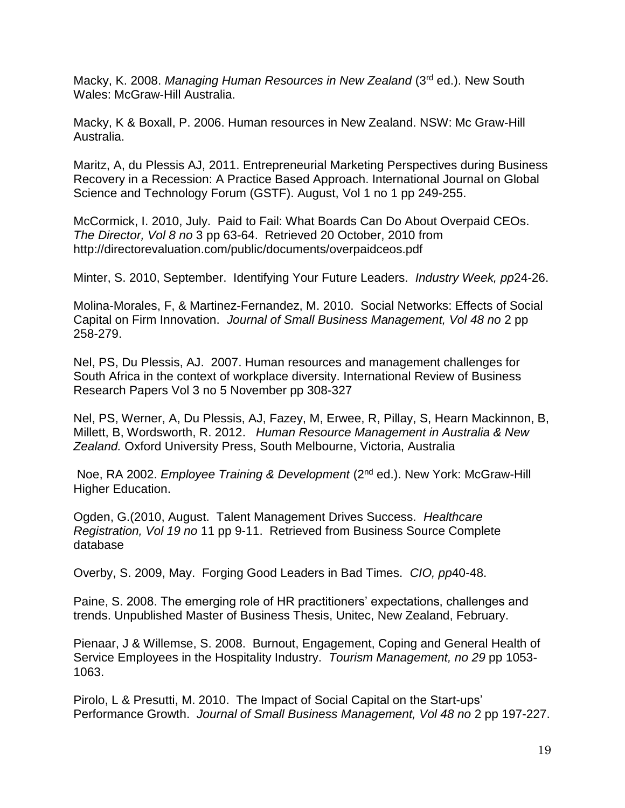Macky, K. 2008. *Managing Human Resources in New Zealand* (3rd ed.). New South Wales: McGraw-Hill Australia.

Macky, K & Boxall, P. 2006. Human resources in New Zealand. NSW: Mc Graw-Hill Australia.

Maritz, A, du Plessis AJ, 2011. Entrepreneurial Marketing Perspectives during Business Recovery in a Recession: A Practice Based Approach. International Journal on Global Science and Technology Forum (GSTF). August, Vol 1 no 1 pp 249-255.

McCormick, I. 2010, July. Paid to Fail: What Boards Can Do About Overpaid CEOs. *The Director, Vol 8 no* 3 pp 63-64. Retrieved 20 October, 2010 from http://directorevaluation.com/public/documents/overpaidceos.pdf

Minter, S. 2010, September. Identifying Your Future Leaders. *Industry Week, pp*24-26.

Molina-Morales, F, & Martinez-Fernandez, M. 2010. Social Networks: Effects of Social Capital on Firm Innovation. *Journal of Small Business Management, Vol 48 no* 2 pp 258-279.

Nel, PS, Du Plessis, AJ. 2007. Human resources and management challenges for South Africa in the context of workplace diversity. International Review of Business Research Papers Vol 3 no 5 November pp 308-327

Nel, PS, Werner, A, Du Plessis, AJ, Fazey, M, Erwee, R, Pillay, S, Hearn Mackinnon, B, Millett, B, Wordsworth, R. 2012. *Human Resource Management in Australia & New Zealand.* Oxford University Press, South Melbourne, Victoria, Australia

Noe, RA 2002. *Employee Training & Development* (2nd ed.). New York: McGraw-Hill Higher Education.

Ogden, G.(2010, August. Talent Management Drives Success. *Healthcare Registration, Vol 19 no* 11 pp 9-11. Retrieved from Business Source Complete database

Overby, S. 2009, May. Forging Good Leaders in Bad Times. *CIO, pp*40-48.

Paine, S. 2008. The emerging role of HR practitioners' expectations, challenges and trends. Unpublished Master of Business Thesis, Unitec, New Zealand, February.

Pienaar, J & Willemse, S. 2008. Burnout, Engagement, Coping and General Health of Service Employees in the Hospitality Industry. *Tourism Management, no 29* pp 1053- 1063.

Pirolo, L & Presutti, M. 2010. The Impact of Social Capital on the Start-ups' Performance Growth. *Journal of Small Business Management, Vol 48 no* 2 pp 197-227.